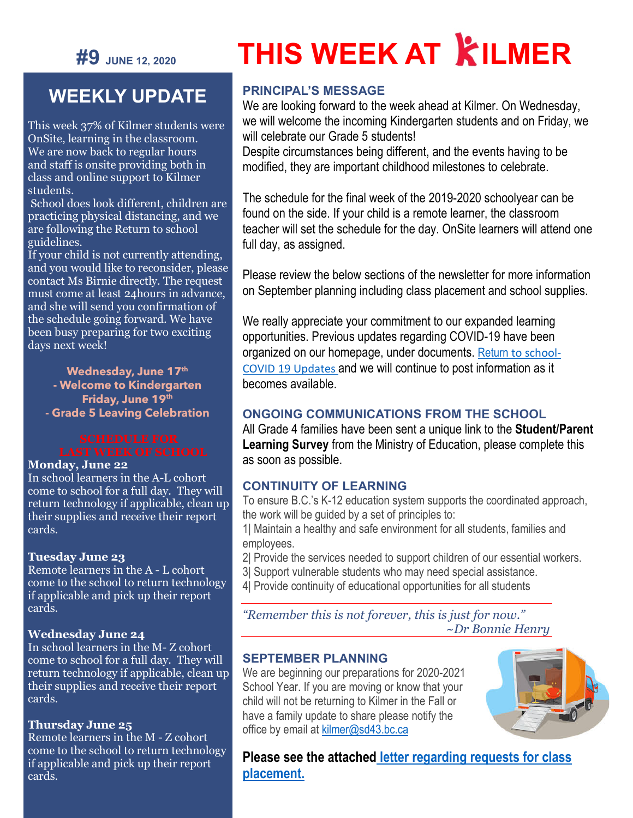

# **THIS WEEK AT KILMER**

## **WEEKLY UPDATE**

This week 37% of Kilmer students were OnSite, learning in the classroom. We are now back to regular hours and staff is onsite providing both in class and online support to Kilmer students.

School does look different, children are practicing physical distancing, and we are following the Return to school guidelines.

If your child is not currently attending, and you would like to reconsider, please contact Ms Birnie directly. The request must come at least 24hours in advance, and she will send you confirmation of the schedule going forward. We have been busy preparing for two exciting days next week!

**Wednesday, June 17th - Welcome to Kindergarten Friday, June 19th - Grade 5 Leaving Celebration**

#### **Monday, June 22**

In school learners in the A-L cohort come to school for a full day. They will return technology if applicable, clean up their supplies and receive their report cards.

#### **Tuesday June 23**

Remote learners in the A - L cohort come to the school to return technology if applicable and pick up their report cards.

#### **Wednesday June 24**

In school learners in the M- Z cohort come to school for a full day. They will return technology if applicable, clean up their supplies and receive their report cards.

#### **Thursday June 25**

Remote learners in the M - Z cohort come to the school to return technology if applicable and pick up their report cards.

#### **PRINCIPAL'S MESSAGE**

We are looking forward to the week ahead at Kilmer. On Wednesday, we will welcome the incoming Kindergarten students and on Friday, we will celebrate our Grade 5 students!

Despite circumstances being different, and the events having to be modified, they are important childhood milestones to celebrate.

The schedule for the final week of the 2019-2020 schoolyear can be found on the side. If your child is a remote learner, the classroom teacher will set the schedule for the day. OnSite learners will attend one full day, as assigned.

Please review the below sections of the newsletter for more information on September planning including class placement and school supplies.

We really appreciate your commitment to our expanded learning opportunities. Previous updates regarding COVID-19 have been organized on our homepage, under documents. [Return](https://www.sd43.bc.ca/school/kilmer/Documents/Return%20to%20School-%20COVID-19%20Updates) to school-COVID 19 Updates and we will continue to post information as it becomes available.

#### **ONGOING COMMUNICATIONS FROM THE SCHOOL**

All Grade 4 families have been sent a unique link to the **Student/Parent Learning Survey** from the Ministry of Education, please complete this as soon as possible.

#### **CONTINUITY OF LEARNING**

To ensure B.C.'s K-12 education system supports the coordinated approach, the work will be guided by a set of principles to:

1| Maintain a healthy and safe environment for all students, families and employees.

- 2| Provide the services needed to support children of our essential workers.
- 3| Support vulnerable students who may need special assistance.
- 4| Provide continuity of educational opportunities for all students

*"Remember this is not forever, this is just for now." ~Dr Bonnie Henry*

#### **SEPTEMBER PLANNING**

We are beginning our preparations for 2020-2021 School Year. If you are moving or know that your child will not be returning to Kilmer in the Fall or have a family update to share please notify the office by email at [kilmer@sd43.bc.ca](mailto:kilmer@sd43.bc.ca)



**[Please see the attached](https://sd43bcca-my.sharepoint.com/:b:/g/personal/bleavold_sd43_bc_ca/EUcl_J_iz9ZClEnyjCjvt18BYIijs1djflhVOlqO0v-4KA?e=WcoSdu) letter regarding requests for class [placement.](https://sd43bcca-my.sharepoint.com/:b:/g/personal/bleavold_sd43_bc_ca/EUcl_J_iz9ZClEnyjCjvt18BYIijs1djflhVOlqO0v-4KA?e=WcoSdu)**